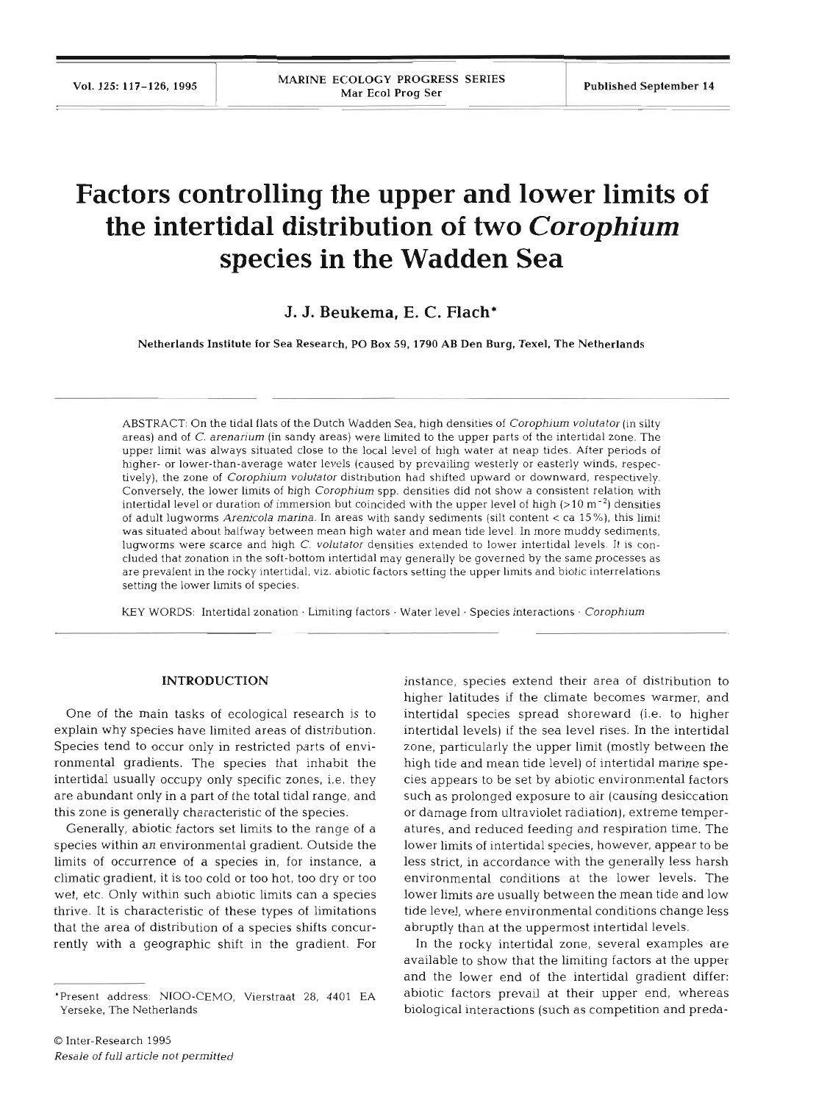# **Factors controlling the upper and lower limits of the intertidal distribution of two Corophium species in the Wadden Sea**

**J. J. Beukema, E.** *C.* **Flach\*** 

Netherlands Institute for Sea Research, PO Box **59, 1790** AB Den Burg, Texel, The Netherlands

ABSTRACT: On the tidal flats of the Dutch Wadden Sea, high densities of Corophium volutator (in silty areas) and of C. arenarium (in sandy areas) were limited to the upper parts of the intertidal zone. The upper limit was always situated close to the local level of high water at neap tides. After periods of higher- or lower-than-average water levels (caused by prevailing westerly or easterly winds, respectively), the zone of *Corophium volutator* distribution had shifted upward or downward, respectively. Conversely, the lower limits of high Corophium spp. densities did not show a consistent relation with intertidal level or duration of immersion but coincided with the upper level of high  $(>10 \text{ m}^{-2})$  densities of adult lugworms Arenicola marina. In areas with sandy sediments (silt content < ca 15%), this limit was situated about halfway between mean high water and mean tlde level. In more muddy sediments, lugworms were scarce and high C. volutator densities extended to lower intertidal levels. It is concluded that zonation in the soft-bottom intertidal may generally be governed by the same processes as are prevalent in the rocky intertidal, viz. abiotic factors setting the upper limits and biotic interrelations setting the lower limits of species.

KEY WORDS: Intertidal zonation . Limiting factors . Water level . Species interactions . Corophium

## **INTRODUCTION**

One of the main tasks of ecological research is to explain why species have limited areas of distribution. Species tend to occur only in restricted parts of environmental gradients. The species that inhabit the intertidal usually occupy only specific zones, i.e. they are abundant only in a part of the total tidal range, and this zone is generally characteristic of the species.

Generally, abiotic factors set limits to the range of a species within an environmental gradient. Outside the limits of occurrence of a species in, for instance, a climatic gradient, it is too cold or too hot, too dry or too wet, etc. Only within such abiotic limits can a species thrive. It is characteristic of these types of limitations that the area of distribution of a species shifts concurrently with a geographic shift in the gradient. For

instance, species extend their area of distribution to higher latitudes if the climate becomes warmer, and intertidal species spread shoreward (i.e. to higher intertidal levels) if the sea level rises. In the intertidal zone, particularly the upper limit (mostly between the high tide and mean tide level) of intertidal marine species appears to be set by abiotic environmental factors such as prolonged exposure to air (causing desiccation or damage from ultraviolet radiation), extreme temperatures, and reduced feeding and respiration time. The lower limits of intertidal species, however, appear to be less strict, in accordance with the generally less harsh environmental conditions at the lower levels. The lower limits are usually between the mean tide and low tide level, where environmental conditions change less abruptly than at the uppermost intertidal levels.

In the rocky intertidal zone, several examples are available to show that the limiting factors at the upper and the lower end of the intertidal gradient differ: abiotic factors prevail at their upper end, whereas biological interactions (such as competition and preda-

<sup>&#</sup>x27;Present address: N100-CEMO, Vierstraat 28, 4401 EA Yerseke, The Netherlands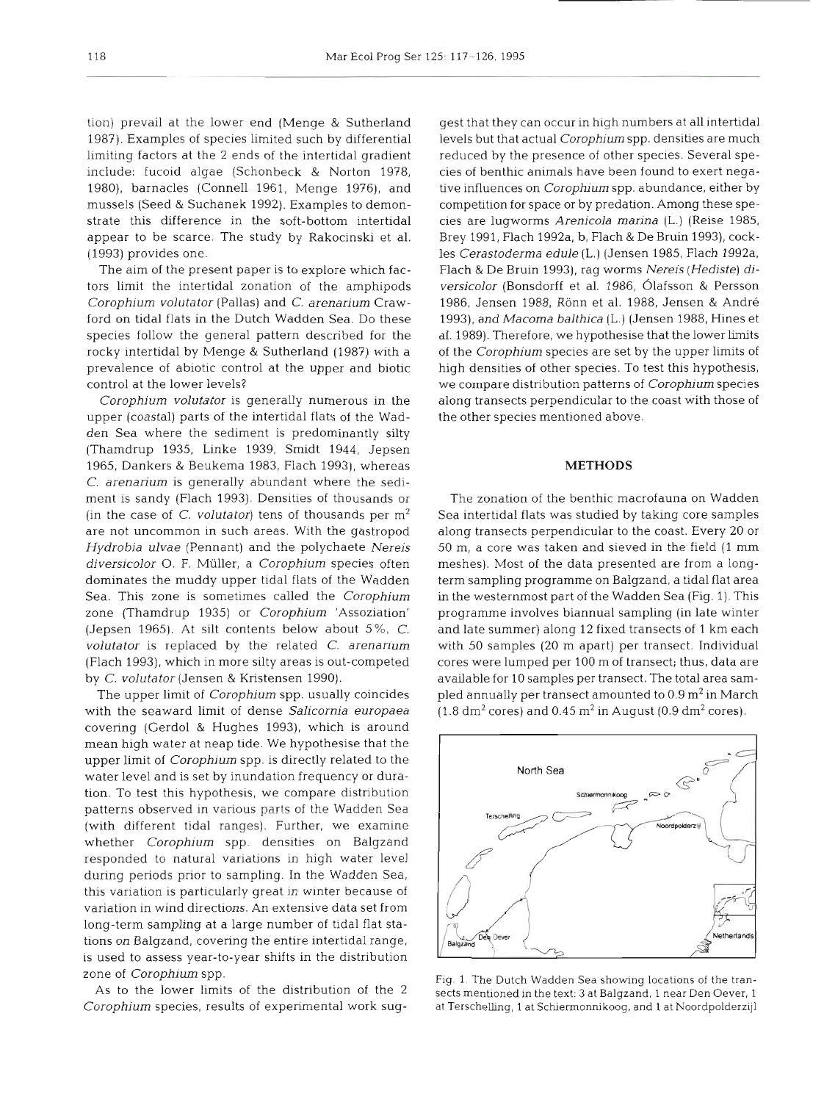1987). Examples of species limited such by differential levels but that actual Corophium spp. densities are much limiting factors at the 2 ends of the intertidal gradient include: fucoid algae (Schonbeck & Norton 1978, 1980), barnacles (Connell 1961, Menge 1976), and tive influences on Corophium spp. abundance, either by mussels (Seed & Suchanek 1992). Examples to demonstrate this difference in the soft-bottom intertidal appear to be scarce. The study by Rakocinski et al. Brey 1991, Flach 1992a, b, Flach & De Bruin 1993), cock-(1993) provides one.

The aim of the present paper is to explore which factors limit the intertidal zonation of the amphipods *Corophium volutator* (Pallas) and *C. arenarium* Crawford on tidal flats in the Dutch Wadden Sea. Do these species follow the general pattern described for the rocky intertidal by Menge & Sutherland (1987) with a prevalence of abiotic control at the upper and biotic control at the lower levels?

*Corophium volutator* is generally numerous in the upper (coastal) parts of the intertidal flats of the Wadden Sea where the sediment is predominantly silty (Thamdrup 1935, Linke 1939, Smidt 1944, Jepsen 1965, Dankers & Beukema 1983, Flach 1993), whereas *C. arenarium* is generally abundant where the sediment is sandy (Flach 1993). Densities of thousands or (in the case of *C. volutator*) tens of thousands per  $m^2$  Sea intertidal flats was studied by taking core samples are not uncommon in such areas. With the gastropod *Hydrobia ulvae* (Pennant) and the polychaete *Nereis diversicolor* 0. *F.* Miiller, a *Corophium* species often dominates the muddy upper tidal flats of the Wadden Sea. This zone is sometimes called the *Corophium*  zone (Thamdrup 1935) or *Corophium* 'Assoziation' (Jepsen 1965). At silt contents below about 5%, *C. volutator* is replaced by the related C. *arenarium*  (Flach 1993), which in more silty areas is out-competed by *C. volutator* (Jensen & Kristensen 1990).

with the seaward limit of dense *Salicornia europaea*  covering (Gerdol & Hughes 1993), which is around mean high water at neap tide. We hypothesise that the upper limit of *Corophium* spp. is directly related to the water level and is set by inundation frequency or duration. To test this hypothesis, we compare distribution patterns observed in various parts of the Wadden Sea (with different tidal ranges). Further, we examine whether *Corophium* spp. densities on Balgzand responded to natural variations in high water level during periods prior to sampling. In the Wadden Sea, this variation is particularly great in winter because of variation in wind directions. An extensive data set from long-term sampling at a large number of tidal flat stations on Balgzand, covering the entire intertidal range, is used to assess year-to-year shifts in the distribution zone of *Corophium* spp.

As to the lower limits of the distribution of the 2 *Corophium* species, results of experimental work sug-

tion) prevail at the lower end (Menge & Sutherland gest that they can occur in high numbers at all intertidal It that they can occur in high numbers at all intertidal<br>Is but that actual *Corophium* spp. densities are much<br>aced by the presence of other species. Several spe-<br>of benthic animals have been found to exert nega-<br>influen

# **METHODS**

The upper limit of *Corophium* spp. usually coincides

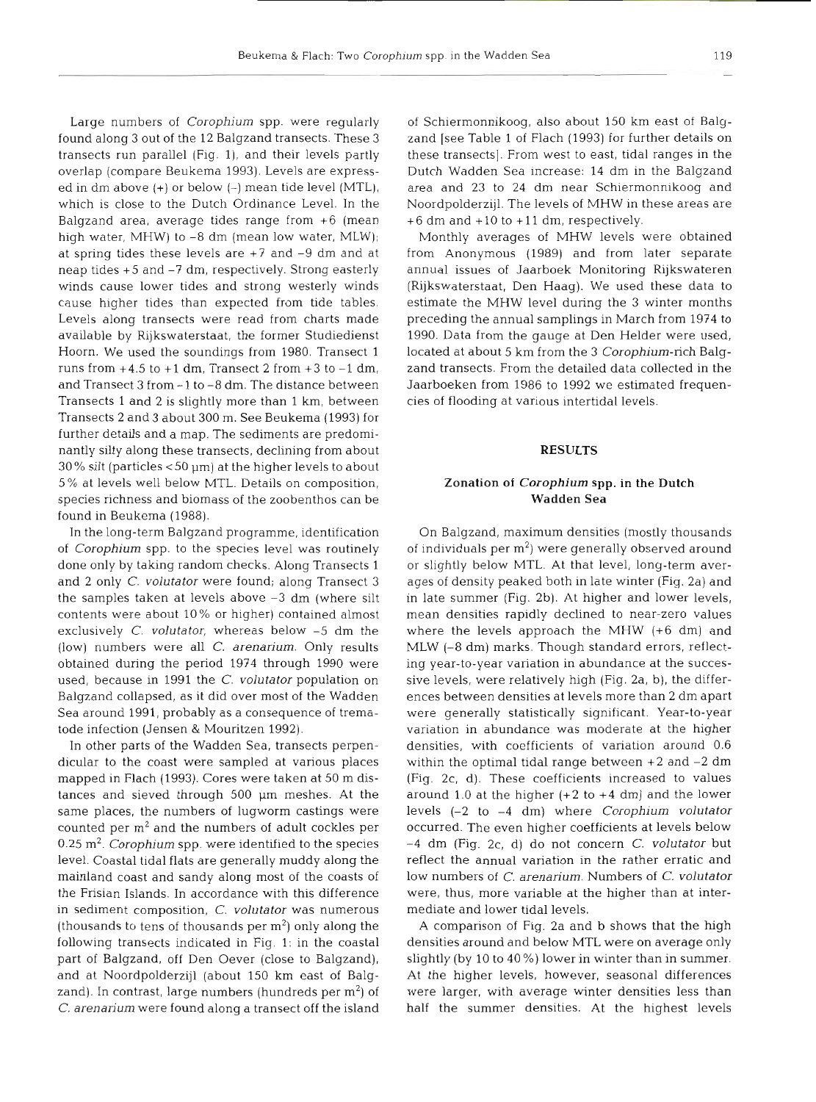Large numbers of *Corophium* spp. were regularly found along 3 out of the 12 Balgzand transects. These **3**  transects run parallel (Fig. 1), and their levels partly overlap (compare Beukema 1993). Levels are expressed in dm above  $(+)$  or below  $(-)$  mean tide level (MTL), which is close to the Dutch Ordinance Level. In the Balgzand area, average tides range from  $+6$  (mean high water, MHW) to  $-8$  dm (mean low water, MLW); at spring tides these levels are +7 and -9 dm and at neap tides +5 and -7 dm, respectively. Strong easterly winds cause lower tides and strong westerly winds cause higher tides than expected from tide tables. Levels along transects were read from charts made available by Rijkswaterstaat, the former Studiedienst Hoorn. We used the soundings from 1980. Transect 1 runs from  $+4.5$  to  $+1$  dm, Transect 2 from  $+3$  to  $-1$  dm, and Transect 3 from - 1 to -8 dm. The distance between Transects 1 and 2 is slightly more than 1 km, between Transects 2 and 3 about 300 m. See Beukema (1993) for further details and a map. The sediments are predominantly silty along these transects, declining from about  $30\%$  silt (particles  $< 50 \mu m$ ) at the higher levels to about 5% at levels well below MTL. Details on composition, species richness and biomass of the zoobenthos can be found in Beukema (1988).

In the long-term Balgzand programme, identification of *Corophium* spp. to the species level was routinely done only by taking random checks. Along Transects 1 and 2 only C. *volutator* were found; along Transect 3 the samples taken at levels above **-3** dm (where silt contents were about 10 % or higher) contained almost exclusively C. *volutator,* whereas below -5 dm the (low) numbers were all *C. arenarium.* Only results obtained during the period 1974 through 1990 were used, because in 1991 the *C. volutator* population on Balgzand collapsed, as it did over most of the Wadden Sea around 1991, probably as a consequence of trematode infection (Jensen & Mouritzen 1992).

In other parts of the Wadden Sea, transects perpendicular to the coast were sampled at various places mapped in Flach (1993). Cores were taken at 50 m distances and sieved through 500 um meshes. At the same places, the numbers of lugworm castings were counted per  $m<sup>2</sup>$  and the numbers of adult cockles per 0.25 m2. *Corophium* spp. were identified to the species level. Coastal tidal flats are generally muddy along the mainland coast and sandy along most of the coasts of the Frisian Islands. In accordance with this difference in sediment composition, C. *volutator* was numerous (thousands to tens of thousands per  $m<sup>2</sup>$ ) only along the following transects indicated in Fig. 1: in the coastal part of Balgzand, off Den Oever (close to Balgzand), and at Noordpolderzijl (about 150 km east of Balgzand). In contrast, large numbers (hundreds per  $m<sup>2</sup>$ ) of C. *arenanum* were found along a transect off the island

of Schiermonnikoog, also about 150 km east of Balgzand [see Table 1 of Flach (1993) for further details on these transects]. From west to east, tidal ranges in the Dutch Wadden Sea increase: 14 dm in the Balgzand area and 23 to 24 dm near Schiermonnikoog and Noordpolderzijl. The levels of MHW in these areas are  $+6$  dm and  $+10$  to  $+11$  dm, respectively.

Monthly averages of MHW levels were obtained from Anonymous (1989) and from later separate annual issues of Jaarboek Monitoring Rijkswateren (Rijkswaterstaat, Den Haag). We used these data to estimate the MHW level during the 3 winter months preceding the annual samplings in March from 1974 to 1990. Data from the gauge at Den Helder were used, located at about 5 km from the 3 *Corophium-rich* Balgzand transects. From the detailed data collected in the Jaarboeken from 1986 to 1992 we estimated frequencies of flooding at various intertidal levels.

#### **RESULTS**

## **Zonation** of **Corophium spp. in the Dutch Wadden Sea**

On Balgzand, maximum densities (mostly thousands of individuals per  $m<sup>2</sup>$ ) were generally observed around or slightly below MTL. At that level, long-term averages of density peaked both in late winter (Fig. 2a) and in late summer (Fig. 2b). At higher and lower levels, mean densities rapidly declined to near-zero values where the levels approach the MHW (+6 dm) and MLW (-8 dm) marks. Though standard errors, reflecting year-to-year variation in abundance at the successive levels, were relatively high (Fig. 2a, b), the differences between densities at levels more than 2 dm apart were generally statistically significant. Year-to-year variation in abundance was moderate at the higher densities, with coefficients of variation around 0.6 within the optimal tidal range between  $+2$  and  $-2$  dm (Fig. 2c, d). These coefficients increased to values around 1.0 at the higher  $(+2 \text{ to } +4 \text{ dm})$  and the lower levels (-2 to -4 dm) where *Corophium volutator*  occurred. The even higher coefficients at levels below -4 dm (Fig. 2c, d) do not concern *C. volutator* but reflect the annual variation in the rather erratic and low numbers of *C. arenarium.* Numbers of *C. volutato* were, thus, more variable at the higher than at intermediate and lower tidal levels.

A comparison of Fig. 2a and b shows that the high densities around and below MTL were on average only slightly (by 10 to 40 %) lower in winter than in summer. At the higher levels, however, seasonal differences were larger, with average winter densities less than half the summer densities. At the highest levels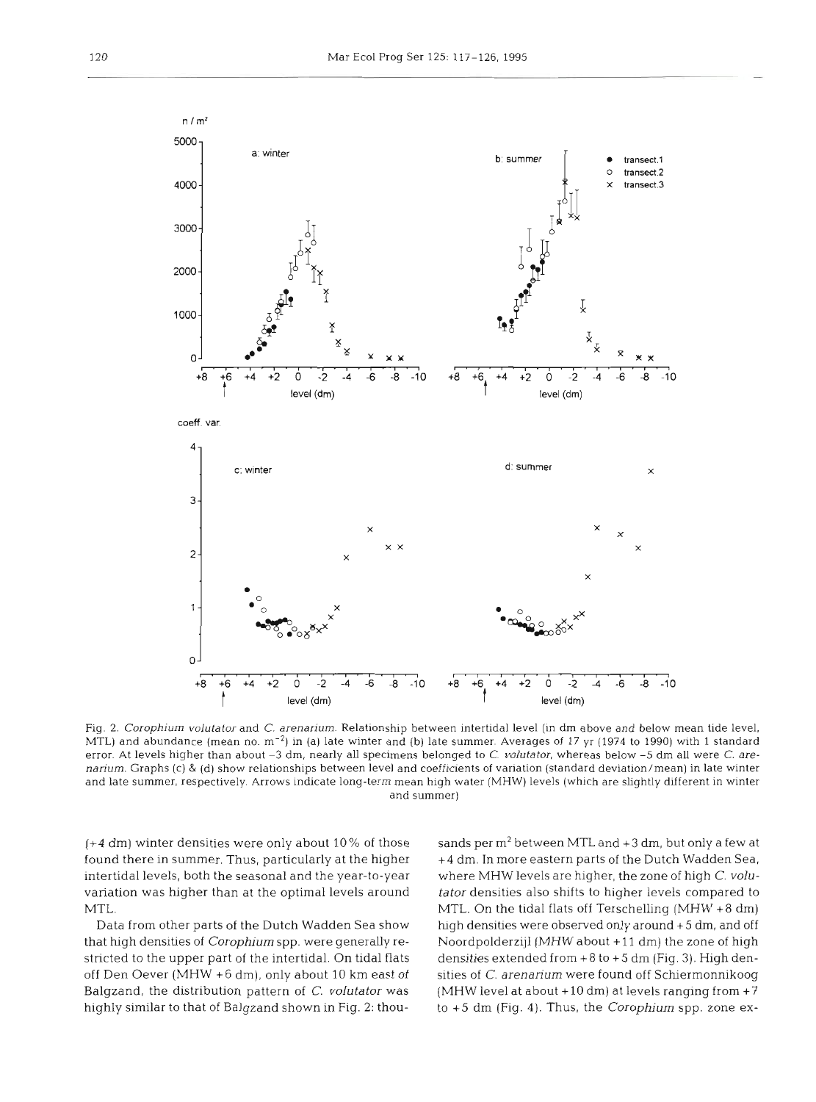

Fig. **2.** *Corophium volutator* and *C. arenarium.* Relationship between intertidal level (in dm above and below mean tide level, MTL) and abundance (mean no.  $m^{-2}$ ) in (a) late winter and (b) late summer. Averages of 17 yr (1974 to 1990) with 1 standard error. At levels higher than about **-3** dm, nearly all specimens belonged to C. *volutator,* whereas below *-5* **drn** all were C. *arenariurn.* Graphs (c) & (d) show relationships between level and coefficients of variation (standard deviation/mean) in late winter and late summer, respectively Arrows indicate long-term mean high water (MHW) levels (which are slightly different in winter and summer)

(+4 dm) winter densities were only about 10% of those found there in summer. Thus, particularly at the higher intertidal levels, both the seasonal and the year-to-year where MHW levels are higher, the zone of high C. voluvariation was higher than at the optimal levels around tator densities also shifts to higher levels compared to MTL.

that high densities of *Corophium* spp. were generally restricted to the upper part of the intertidal. On tidal flats densities extended from +8 to +5 dm (Fig. 3). High denoff Den Oever (MHW +6 dm), only about 10 km east of Balgzand, the distribution pattern of C. *volutator* was highly similar to that of Balgzand shown in Fig. **2:** thou-

Data from other parts of the Dutch Wadden Sea show high densities were observed only around +5 dm, and off sands per m2 between MTL and **+3 drn,** but only a few at lm. In more eastern parts of the Dutch Wadden Sea,<br>re MHW levels are higher, the zone of high *C. volu-*<br>r densities also shifts to higher levels compared to<br>.. On the tidal flats off Terschelling (MHW +8 dm)<br>densities we to **+5** dm (Fig. 4). Thus, the *Corophium* spp. zone ex-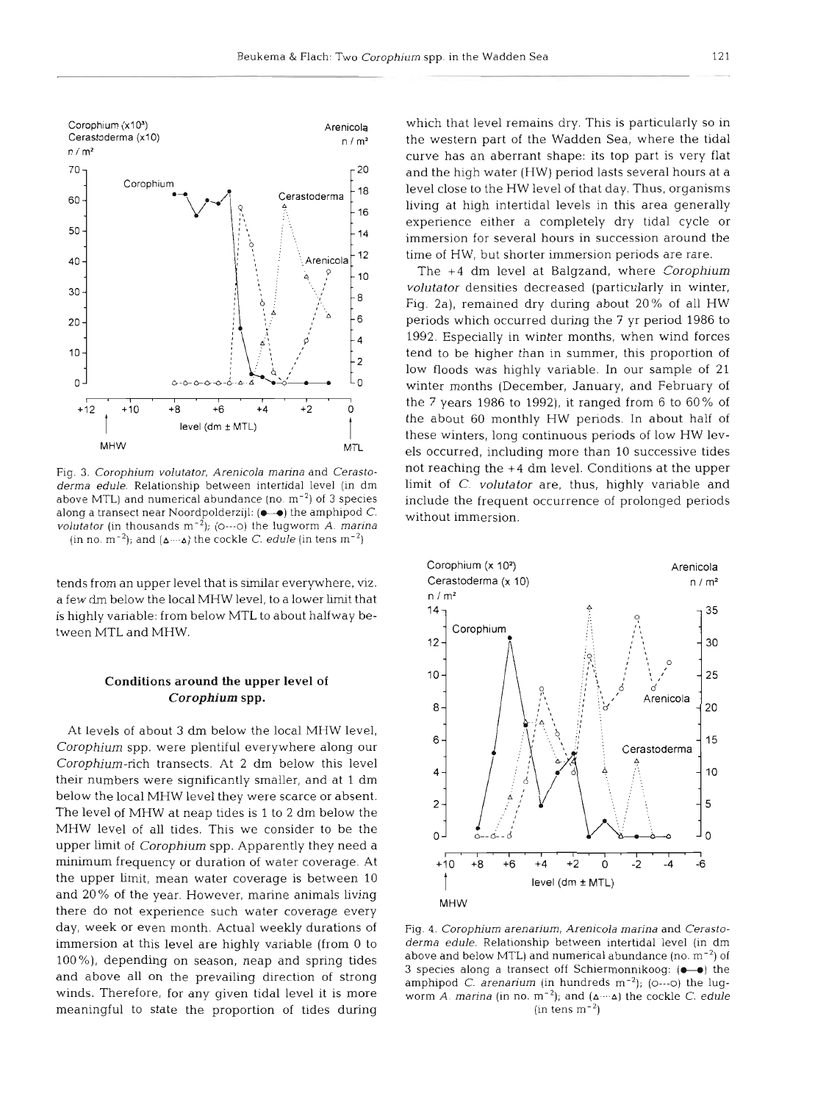

Fig. 3. Corophium volutator, Arenicola marina and Cerastoderma edule. Relationship between intertidal level (in dm above MTL) and numerical abundance (no.  $m^{-2}$ ) of 3 species along a transect near Noordpolderzijl: ( $\bullet$  ) the amphipod C. *volutator* (in thousands  $m^{-2}$ ); (0---0) the lugworm A. marina (in no. m<sup>-2</sup>); and  $(A \cdots A)$  the cockle C. edule (in tens m<sup>-2</sup>)

tends from an upper level that is similar everywhere, viz. a few dm below the local MHW level, to a lower limit that is highly variable: from below MTL to about halfway between MTL and MHW.

## **Conditions around the upper level of**  *Corophium* **spp.**

At levels of about **3** dm below the local MHW level, Corophium spp. were plentiful everywhere along our Corophium-rich transects. At 2 dm below this level their numbers were significantly smaller, and at 1 dm below the local MHW level they were scarce or absent. The level of MHW at neap tides is 1 to 2 dm below the MHW level of all tides. This we consider to be the upper limit of Corophium spp. Apparently they need a minimum frequency or duration of water coverage. At the upper limit, mean water coverage is between 10 and 20% of the year. However, marine animals living there do not experience such water coverage every day, week or even month. Actual weekly durations of immersion at this level are highly variable (from 0 to 100%), depending on season, neap and spring tides and above all on the prevailing direction of strong winds. Therefore, for any given tidal level it is more meaningful to state the proportion of tides during

which that level remains dry. This is particularly so in the western part of the Wadden Sea, where the tidal curve has an aberrant shape: its top part is very flat and the high water (HW) period lasts several hours at a level close to the HW level of that day. Thus, organisms living at high intertidal levels in this area generally experience either a completely dry tidal cycle or immersion for several hours in succession around the time of HW, but shorter immersion periods are rare.

The **+4** dm level at Balgzand, where Corophium volutator densities decreased (particularly in winter, Fig. 2a), remained dry during about 20% of all HW periods which occurred during the 7 yr period 1986 to 1992. Especially in winter months, when wind forces tend to be higher than in summer, this proportion of low floods was highly variable. In our sample of 21 winter months (December, January, and February of the 7 years 1986 to 1992), it ranged from 6 to 60% of the about 60 monthly HW periods. In about half of these winters, long continuous periods of low HW levels occurred, including more than 10 successive tides not reaching the **+4** dm level. Conditions at the upper limit of C. volutator are, thus, highly variable and include the frequent occurrence of prolonged periods without immersion.



Fig. 4. Corophium arenarium, Arenicola marina and Cerastoderma edule. Relationship between intertidal level (in dm above and below MTL) and numerical abundance (no.  $m^{-2}$ ) of **3** species along a transect off Schiermonnikoog:  $(\bullet - \bullet)$  the amphipod C. arenarium (in hundreds  $m^{-2}$ ); (0---0) the lugworm A. marina (in no.  $m^{-2}$ ); and  $({\Delta} \cdots {\Delta})$  the cockle C. edule  $(in tens m<sup>-2</sup>)$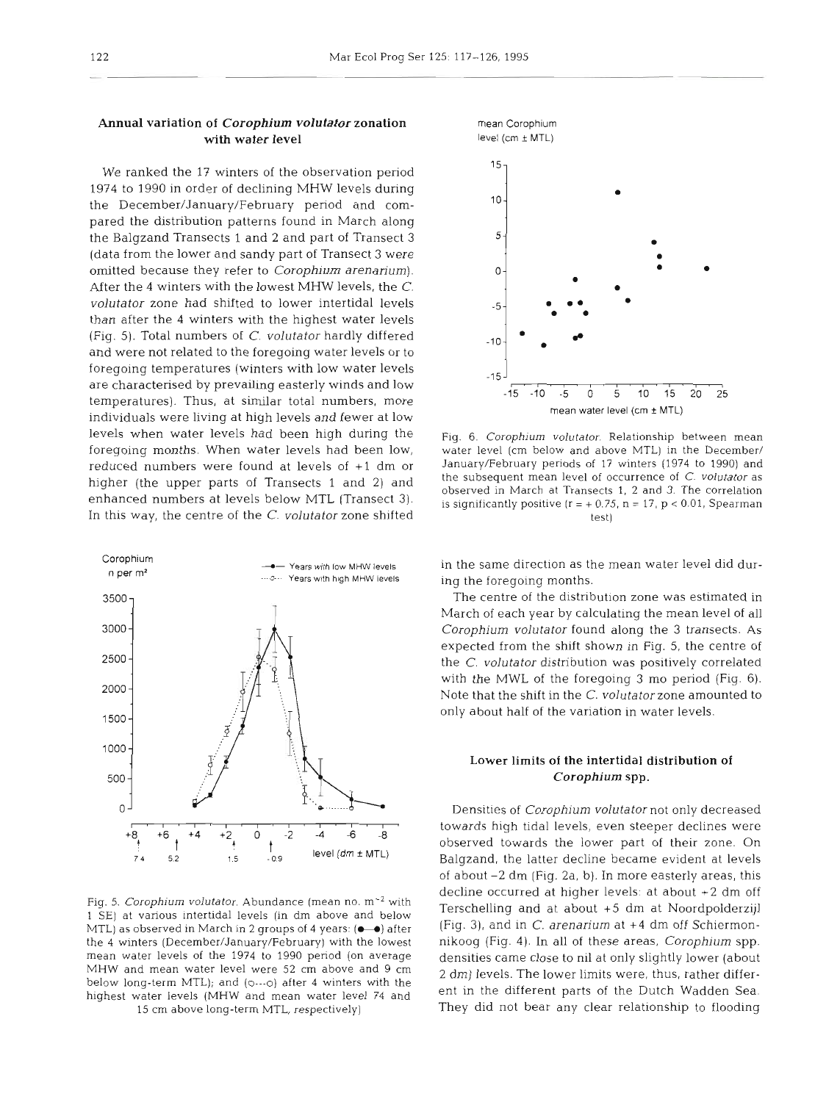## Annual variation of *Corophium volutator* zonation with water level

We ranked the 17 winters of the observation period 1974 to 1990 in order of declining MHW levels during the December/January/February period and compared the distribution patterns found in March along the Balgzand Transects 1 and 2 and part of Transect **3**  (data from the lower and sandy part of Transect **3** were omitted because they refer to Corophium arenarium). After the 4 winters with the lowest MHW levels, the C. volutator zone had shifted to lower intertidal levels than after the 4 winters with the highest water levels (Fig. 5). Total numbers of C. volutator hardly differed and were not related to the foregoing water levels or to foregoing temperatures (winters with low water levels are characterised by prevailing easterly winds and low temperatures). Thus, at similar total numbers, more individuals were living at high levels and fewer at low levels when water levels had been high during the foregoing months. When water levels had been low, reduced numbers were found at levels of +l dm or higher (the upper parts of Transects 1 and 2) and enhanced numbers at levels below MTL (Transect **3).**  In this way, the centre of the C. volutafor zone shifted



1 SE) at various intertidal levels (in dm above and below Terschelling and at about **+5** dm at Noordpolderzijl MTL) as observed in March in 2 groups of 4 years: ( $\bullet\bullet$ ) after (Fig. 3), and in C. arenarium at +4 dm off Schiermonthe 4 winters (December/January/February) with the lowest nikoog (Fig. 4). In all of these areas, Corophium spp. mean water levels of the 1974 to 1990 period (on average densities came close to nil at only slightly lower (about<br>MHW and mean water level were 52 cm above and 9 cm and alowels. The lower limits were thus rather differ-MHW and mean water level were 52 cm above and 9 cm  $2 \text{ dm}$  levels. The lower limits were, thus, rather differ-<br>below long-term MTL); and (0---0) after 4 winters with the sent in the different nexts of the Dutch Wedden Se highest water levels (MHW and mean water level 74 and ent in the different parts of the Dutch Wadden Sea.



Fig. 6. Corophium volutator. Relationship between mean water level (cm below and above MTL) in the December/ January/February periods of 17 winters (1974 to 1990) and the subsequent mean level of occurrence of C. volutator as observed in March at Transects 1, **2** and 3. The correlation is significantly positive  $(r = +0.75, n = 17, p < 0.01,$  Spearman test)

in the same direction as the mean water level did during the foregoing months.

The centre of the distribution zone was estimated in March of each year by calculating the mean level of all Corophium volutator found along the **3** transects. As expected from the shift shown in Fig. 5, the centre of the C. volutator distribution was positively correlated with the MWL of the foregoing 3 mo period (Fig. 6). Note that the shift in the C. volutatorzone amounted to only about half of the variation in water levels.

# Lower limits of the intertidal distribution of *Corophium* spp.

I.I~I~I'I~I~I'I'I' towards high tidal levels, even steeper declines were Densities of Corophium volutator not only decreased observed towards the lower part of their zone. On Balgzand, the latter decline became evident at levels of about -2 dm (Fig. 2a, b). In more easterly areas, this decline occurred at higher levels: at about +2 dm off Fig. 5. Corophium volutator. Abundance (mean no. m<sup>-2</sup> with Fig. 2nd at about c5 dm at Noordpolderail) 15 cm above long-term MTL, respectively) They did not bear any clear relationship to flooding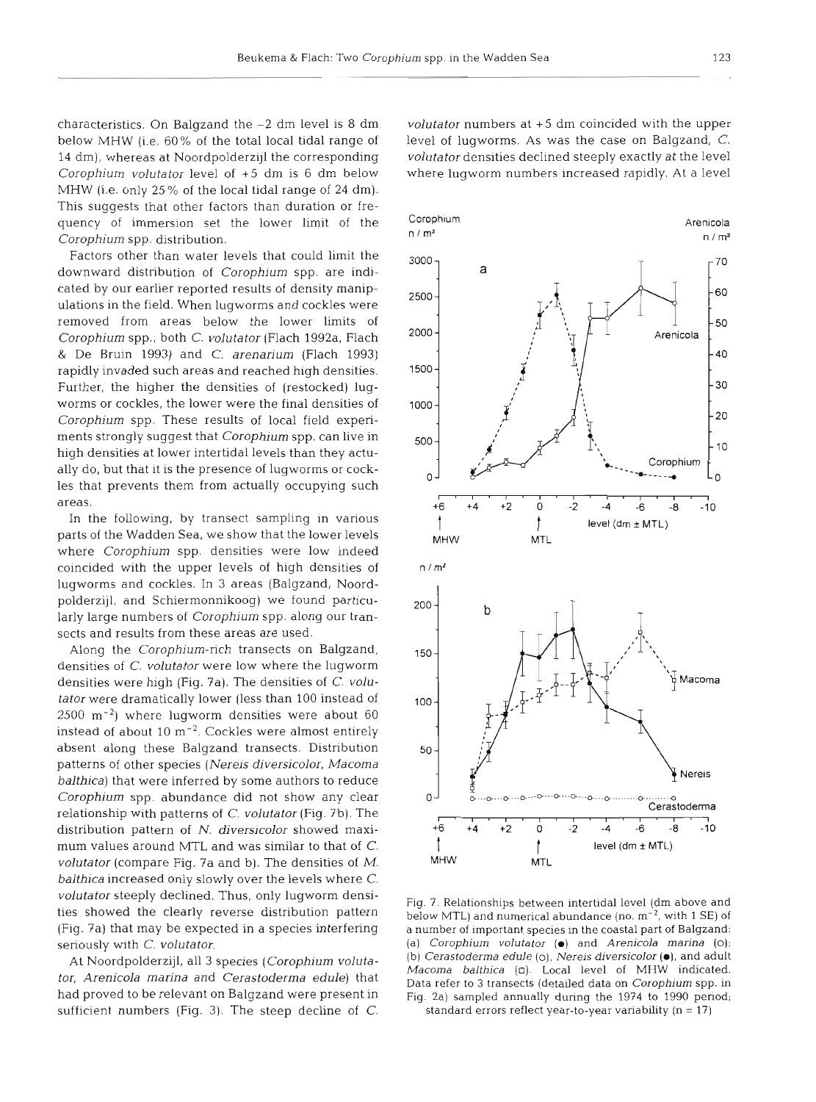characteristics. On Balgzand the -2 dm level is 8 dm below MHW (i.e. 60% of the total local tidal range of 14 dm), whereas at Noordpolderzijl the corresponding Corophium volutator level of +5 dm is 6 dm below MHW (i.e. only 25% of the local tidal range of 24 dm). This suggests that other factors than duration or frequency of immersion set the lower limit of the Corophium spp. distribution.

Factors other than water levels that could limit the downward distribution of Corophium spp. are indicated by our earlier reported results of density manipulations in the field. When lugworms and cockles were removed from areas below the lower limits of Corophium spp., both C. volutator (Flach 1992a, Flach & De Bruin 1993) and C. arenarium (Flach 1993) rapidly invaded such areas and reached high densities. Further, the higher the densities of (restocked) lugworms or cockles, the lower were the final densities of Corophium spp. These results of local field experiments strongly suggest that Corophium spp. can live in high densities at lower intertidal levels than they actually do, but that it is the presence of lugworms or cockles that prevents them from actually occupying such areas.

In the following, by transect sampling in various parts of the Wadden Sea, we show that the lower levels where Corophium spp. densities were low indeed coincided with the upper levels of high densities of lugworms and cockles. In 3 areas (Balgzand, Noordpolderzijl, and Schiermonnikoog) we found particularly large numbers of Corophium spp. along our transects and results from these areas are used.

Along the Corophium-rich transects on Balgzand, densities of C. volutator were low where the lugworm densities were high (Fig. 7a). The densities of C. volutator were dramatically lower (less than 100 instead of  $2500 \text{ m}^{-2}$ ) where lugworm densities were about 60 instead of about  $10 \text{ m}^{-2}$ . Cockles were almost entirely absent along these Balgzand transects. Distribution patterns of other species (Nereis diversicolor, Macoma balthica) that were inferred by some authors to reduce Corophium spp. abundance did not show any clear relationship with patterns of  $C$ . volutator (Fig. 7b). The distribution pattern of N. diversicolor showed maximum values around MTL and was similar to that of C. volutator (compare Fig. ?a and b). The densities of M. balthica increased only slowly over the levels where C. volutator steeply declined. Thus, only lugworm densities showed the clearly reverse distribution pattern (Fig. ?a) that may be expected in a species interfering seriously with C. volutator.

At Noordpolderzijl, all **3** species (Corophium volutator, Arenicola marina and Cerastoderma edule) that had proved to be relevant on Balgzand were present in sufficient numbers (Fig. 3). The steep decline of  $C$ .

volutator numbers at +5 dm coincided with the upper level of lugworms. As was the case on Balgzand, C. volutator densities declined steeply exactly at the level where lugworm numbers increased rapidly. At a level



Fig. 7. Relationships between intertidal level (dm above and below MTL) and numerical abundance (no.  $m^{-2}$ , with 1 SE) of a number of important species in the coastal part of Balgzand: (a) *Corophium volutator* (m) and *Arenicola marina* (0); (b) *Cerastoderma edule* (o), *Nereis diversicolor* **(m),** and adult *Macoma balthica* (0). Local level of MHW indicated. Data refer to **3** transects (detailed data on *Corophium* spp. in Fig. 2a) sampled annually during the 1974 to 1990 period; standard errors reflect year-to-year variability (n = **l?)**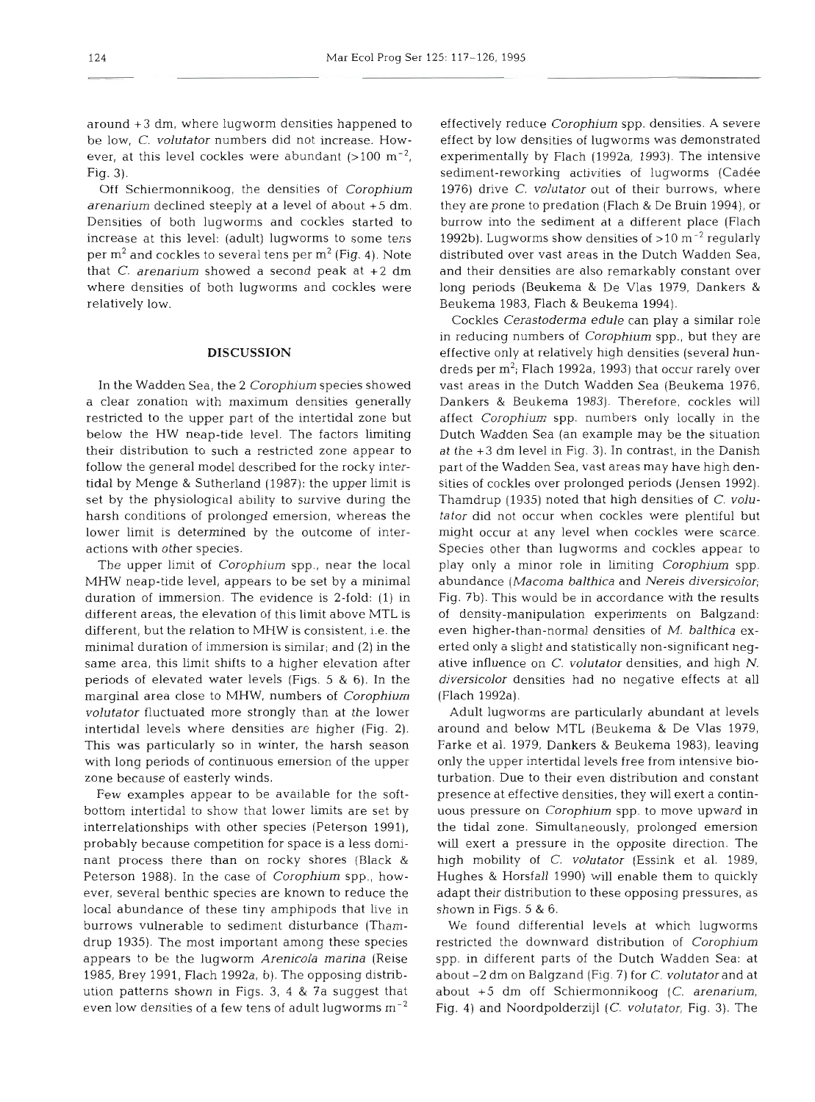around +3 dm, where lugworm densities happened to be low, C, volutator numbers did not increase. However, at this level cockles were abundant  $(>100 \text{ m}^{-2})$ , Fig. 3).

Off Schiermonnikoog, the densities of Corophium arenarium declined steeply at a level of about +5 dm. Densities of both lugworms and cockles started to increase at this level: (adult) lugworms to some tens per  $m^2$  and cockles to several tens per  $m^2$  (Fig. 4). Note that C. arenarium showed a second peak at  $+2$  dm where densities of both lugworms and cockles were relatively low.

#### **DISCUSSION**

In the Wadden Sea, the 2 Corophium species showed a clear zonation with maximum densities generally restricted to the upper part of the intertidal zone but below the HW neap-tide level. The factors limiting their distribution to such a restricted zone appear to follow the general model described for the rocky intertidal by Menge & Sutherland (1987): the upper limit is set by the physiological ability to survive during the harsh conditions of prolonged emersion, whereas the lower limit is determined by the outcome of interactions with other species.

The upper limit of Corophium spp., near the local MHW neap-tide level, appears to be set by a minimal duration of immersion. The evidence is 2-fold: (1) in different areas, the elevation of this limit above MTL is different, but the relation to MHW is consistent, i.e. the minimal duration of immersion is similar; and (2) in the same area, this limit shifts to a higher elevation after periods of elevated water levels (Figs. 5 & 6). In the marginal area close to MHW, numbers of Corophium volutator fluctuated more strongly than at the lower intertidal levels where densities are higher (Fig. 2). This was particularly so in winter, the harsh season with long periods of continuous emersion of the upper zone because of easterly winds.

Few examples appear to be available for the softbottom intertidal to show that lower limits are set by interrelationships with other species (Peterson 1991). probably because competition for space is a less dominant process there than on rocky shores (Black & Peterson 1988). In the case of Corophium spp., however, several benthic species are known to reduce the local abundance of these tiny amphipods that live in burrows vulnerable to sediment disturbance (Thamdrup 1935). The most important among these species appears to be the lugworm Arenicola marina (Reise 1985, Brey 1991, Flach 1992a, b). The opposing distnbution patterns shown in Figs. 3, 4 & 7a suggest that even low densities of a few tens of adult lugworms  $m^{-2}$ 

effectively reduce Corophium spp. densities. A severe effect by low densities of lugworms was demonstrated experimentally by Flach (1992a, 1993). The intensive sediment-reworking activities of lugworms (Cadée 1976) drive C. volutator out of their burrows, where they are prone to predation (Flach & De Bruin 1994), or burrow into the sediment at a different place (Flach 1992b). Lugworms show densities of  $>$ 10 m<sup>-2</sup> regularly distributed over vast areas in the Dutch Wadden Sea, and their densities are also remarkably constant over long periods (Beukema & De Vlas 1979, Dankers & Beukema 1983, Flach & Beukema 1994).

Cockles Cerastoderma edule can play a similar role in reducing numbers of Corophium spp., but they are effective only at relatively high densities (several hundreds per  $m^2$ ; Flach 1992a, 1993) that occur rarely over vast areas in the Dutch Wadden Sea (Beukema 1976, Dankers & Beukema 1983). Therefore, cockles will affect Corophium spp. numbers only locally in the Dutch Wadden Sea (an example may be the situation at the *+3* dm level in Fig. 3). In contrast, in the Danish part of the Wadden Sea, vast areas may have high densities of cockles over prolonged periods (Jensen 1992). Thamdrup (1935) noted that high densities of C. volutator did not occur when cockles were plentiful but might occur at any level when cockles were scarce. Species other than lugworms and cockles appear to play only a minor role in limiting Corophium spp. abundance (Macoma balthica and Nereis diversicolor; Fig. 7b). This would be in accordance with the results of density-manipulation experiments on Balgzand: even higher-than-normal densities of M. balthica exerted only a slight and statistically non-significant negative influence on C. volutator densities, and high N. diversicolor densities had no negative effects at all (Flach 1992a).

Adult lugworms are particularly abundant at levels around and below MTL (Beukema & De Vlas 1979, Farke et al. 1979, Dankers & Beukema 1983), leaving only the upper intertidal levels free from intensive bioturbation. Due to their even distribution and constant presence at effective densities, they will exert a continuous pressure on Corophium spp. to move upward in the tidal zone. Simultaneously, prolonged emersion will exert a pressure in the opposite direction. The high mobility of C. volutator (Essink et al. 1989, Hughes & Horsfall 1990) will enable them to quickly adapt their distribution to these opposing pressures, as shown in Figs. 5 & 6.

We found differential levels at which lugworms restricted the downward distribution of Corophium spp, in different parts of the Dutch Wadden Sea: at about -2 dm on Balgzand (Fig. 7) for C. volutatorand at about +5 dm off Schiermonnikoog (C. arenarium, Fig. 4) and Noordpolderzijl (C. volutator, Fig. 3). The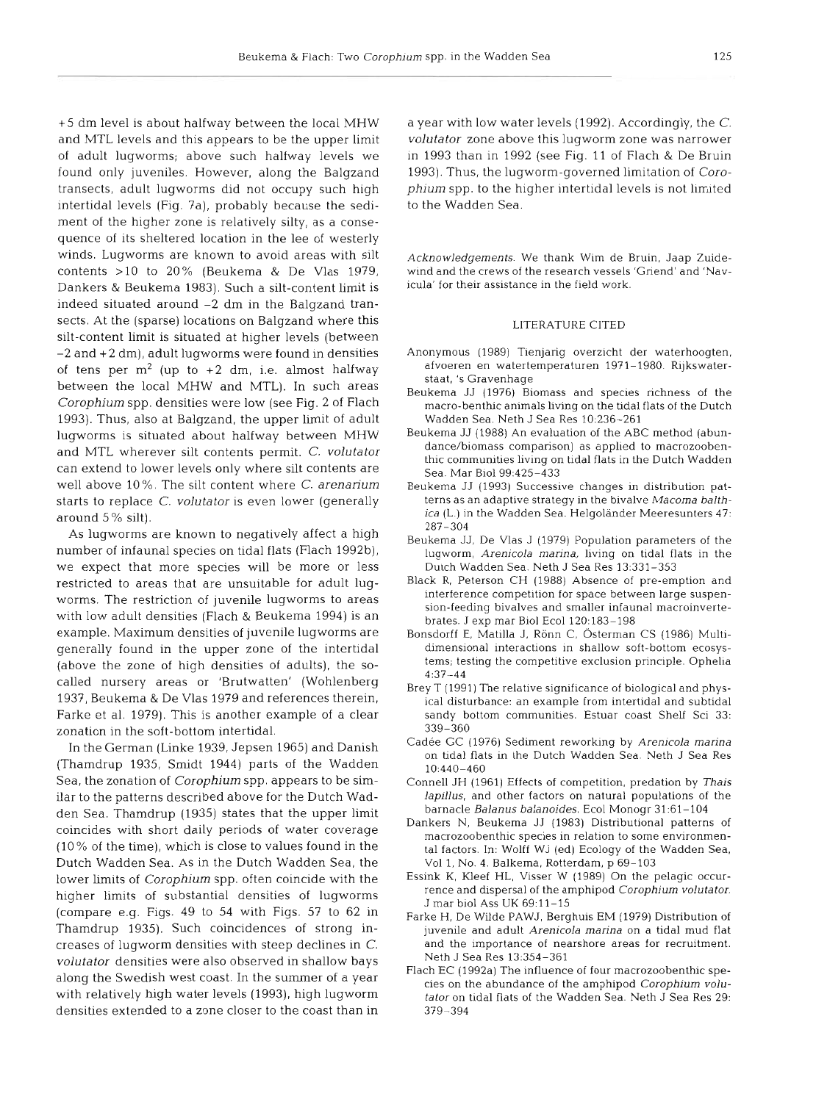+5 dm level is about halfway between the local MHW and MTL levels and this appears to be the upper limit of adult lugworms; above such halfway levels we found only juveniles. However, along the Balgzand transects, adult lugworms did not occupy such high intertidal levels (Fig. 7a), probably because the sediment of the higher zone is relatively silty, as a consequence of its sheltered location in the lee of westerly winds. Lugworms are known to avoid areas with silt contents  $>10$  to  $20\%$  (Beukema & De Vlas 1979, Dankers & Beukema 1983). Such a silt-content limit is indeed situated around -2 dm in the Balgzand transects. At the (sparse) locations on Balgzand where this silt-content limit is situated at higher levels (between -2 and + 2 dm), adult lugworms were found in densities of tens per  $m^2$  (up to +2 dm, i.e. almost halfway between the local MHW and MTL). In such areas Corophium spp. densities were low (see Fig. 2 of Flach 1993). Thus, also at Balgzand, the upper limit of adult lugworms is situated about halfway between MHW and MTL wherever silt contents permit. C. volutator can extend to lower levels only where silt contents are well above 10%. The silt content where C. arenarium starts to replace C. volutator is even lower (generally around 5 % silt).

As lugworms are known to negatively affect a high number of infaunal species on tidal flats (Flach 1992b), we expect that more species will be more or less restricted to areas that are unsuitable for adult lugworms. The restriction of juvenile lugworms to areas with low adult densities (Flach & Beukema 1994) is an example. Maximum densities of juvenile lugworms are generally found in the upper zone of the intertidal (above the zone of high densities of adults), the socalled nursery areas or 'Brutwatten' (Wohlenberg 1937, Beukema & De Vlas 1979 and references therein, Farke et al. 1979). This is another example of a clear zonation in the soft-bottom intertidal.

In the German (Linke 1939, Jepsen 1965) and Danish (Thamdrup 1935, Smidt 1944) parts of the Wadden Sea, the zonation of Corophium spp. appears to be similar to the patterns described above for the Dutch Wadden Sea. Thamdrup (1935) states that the upper limit coincides with short daily periods of water coverage (10 % of the time), which is close to values found in the Dutch Wadden Sea. As in the Dutch Wadden Sea, the lower limits of Corophium spp. often coincide with the higher limits of substantial densities of lugworms (compare e.g. Figs. 49 to 54 with Figs. 57 to 62 in Thamdrup 1935). Such coincidences of strong increases of lugworm densities with steep declines in C. volutator densities were also observed in shallow bays along the Swedish west coast. In the summer of a year with relatively high water levels (1993), high lugworm densities extended to a zone closer to the coast than in

a year with low water levels (1992). Accordingly, the C. volutator zone above this lugworm zone was narrower in 1993 than in 1992 (see Fig. 11 of Flach & De Bruin 1993). Thus, the lugworm-governed limitation of Corophium spp. to the higher intertidal levels is not limited to the Wadden Sea.

Acknowledgements. We thank Wim de Bruin, Jaap Zuidewind and the crews of the research vessels 'Griend' and 'Navicula' for their assistance in the field work.

## LITERATURE CITED

- Anonymous (1989) Tienjarig overzicht der waterhoogten. afvoeren en watertemperaturen 1971-1980. Riikswaterstaat, 's Gravenhage
- Beukema JJ (1976) Biomass and species nchness of the macro-benthic animals living on the tidal flats of the Dutch Wadden Sea. Neth J Sea Res 10:236-261
- Beukema JJ (1988) An evaluation of the ABC method (abundance/biomass comparison) as applied to macrozoobenthic communities living on tidal flats in the Dutch Wadden Sea. Mar Biol99:425-433
- Beukema JJ (1993) Successive changes in distribution patterns as an adaptive strategy in the bivalve Macoma balthica (L.) in the Wadden Sea. Helgoländer Meeresunters 47: 287-304
- Beukema JJ, De Vlas J (1979) Population parameters of the lugworm, Arenicola marina, living on tidal flats in the Dutch Wadden Sea. Neth J Sea Res 13:331-353
- Black R, Peterson CH (1988) Absence of pre-emption and interference competition for space between large suspension-feeding bivalves and smaller infaunal macroinvertebrates. J exp mar Biol Ecol 120:183-198
- Bonsdorff E, Matilla J, Rönn C, Österman CS (1986) Multidimensional interactions in shallow soft-bottom ecosystems; testing the competitive exclusion principle. Ophelia 4:37-44
- Brey **T** (1991) The relative significance of biological and physical disturbance: an example from intertidal and subtidal sandy bottom communities. Estuar coast Shelf Sci 33: 339-360
- Cadée GC (1976) Sediment reworking by Arenicola marina on tidal flats in the Dutch Wadden Sea. Neth J Sea Res 10:440-460
- Connell JH (1961) Effects of competition, predation by Thais lapillus, and other factors on natural populations of the barnacle Balanus balanoides. Ecol Monogr 31:61-104
- Dankers N, Beukema JJ (1983) Distributional patterns of macrozoobenthic species in relation to some environmental factors. In: Wolff WJ (ed) Ecology of the Wadden Sea. Vol 1, No. 4. Balkema, Rotterdam, p 69-103
- Essink K, Kleef HL, Visser W (1989) On the pelagic occurrence and dispersal of the amphipod Corophium volutator. J mar biol Ass UK 69:ll-15
- Farke H, De Wilde PAWJ, Berghuis EM (1979) Distribution of juvenile and adult Arenicola marina on a tidal mud flat and the importance of nearshore areas for recruitment. Neth J Sea Res 13:354-361
- Flach EC (1992a) The influence of four macrozoobenthic species on the abundance of the amphipod Corophium volutator on tidal flats of the Wadden Sea. Neth J Sea Res 29: 379-394